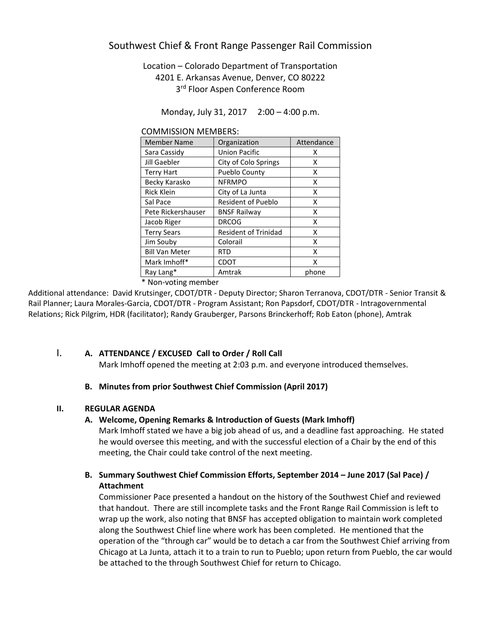# Southwest Chief & Front Range Passenger Rail Commission

# Location – Colorado Department of Transportation 4201 E. Arkansas Avenue, Denver, CO 80222 3<sup>rd</sup> Floor Aspen Conference Room

Monday, July 31, 2017 2:00 – 4:00 p.m.

| CONTRITISJION IVILIVIDENS. |                             |            |
|----------------------------|-----------------------------|------------|
| Member Name                | Organization                | Attendance |
| Sara Cassidy               | <b>Union Pacific</b>        | x          |
| Jill Gaebler               | City of Colo Springs        | x          |
| <b>Terry Hart</b>          | <b>Pueblo County</b>        | x          |
| Becky Karasko              | <b>NFRMPO</b>               | x          |
| <b>Rick Klein</b>          | City of La Junta            | x          |
| Sal Pace                   | <b>Resident of Pueblo</b>   | x          |
| Pete Rickershauser         | <b>BNSF Railway</b>         | x          |
| Jacob Riger                | <b>DRCOG</b>                | x          |
| <b>Terry Sears</b>         | <b>Resident of Trinidad</b> | x          |
| Jim Souby                  | Colorail                    | x          |
| <b>Bill Van Meter</b>      | RTD                         | x          |
| Mark Imhoff*               | <b>CDOT</b>                 | x          |
| Ray Lang*                  | Amtrak                      | phone      |
|                            |                             |            |

COMMISSION MEMBERS:

\* Non-voting member

Additional attendance: David Krutsinger, CDOT/DTR - Deputy Director; Sharon Terranova, CDOT/DTR - Senior Transit & Rail Planner; Laura Morales-Garcia, CDOT/DTR - Program Assistant; Ron Papsdorf, CDOT/DTR - Intragovernmental Relations; Rick Pilgrim, HDR (facilitator); Randy Grauberger, Parsons Brinckerhoff; Rob Eaton (phone), Amtrak

### I. **A. ATTENDANCE / EXCUSED Call to Order / Roll Call**

Mark Imhoff opened the meeting at 2:03 p.m. and everyone introduced themselves.

### **B. Minutes from prior Southwest Chief Commission (April 2017)**

#### **II. REGULAR AGENDA**

#### **A. Welcome, Opening Remarks & Introduction of Guests (Mark Imhoff)**

Mark Imhoff stated we have a big job ahead of us, and a deadline fast approaching. He stated he would oversee this meeting, and with the successful election of a Chair by the end of this meeting, the Chair could take control of the next meeting.

## **B. Summary Southwest Chief Commission Efforts, September 2014 – June 2017 (Sal Pace) / Attachment**

Commissioner Pace presented a handout on the history of the Southwest Chief and reviewed that handout. There are still incomplete tasks and the Front Range Rail Commission is left to wrap up the work, also noting that BNSF has accepted obligation to maintain work completed along the Southwest Chief line where work has been completed. He mentioned that the operation of the "through car" would be to detach a car from the Southwest Chief arriving from Chicago at La Junta, attach it to a train to run to Pueblo; upon return from Pueblo, the car would be attached to the through Southwest Chief for return to Chicago.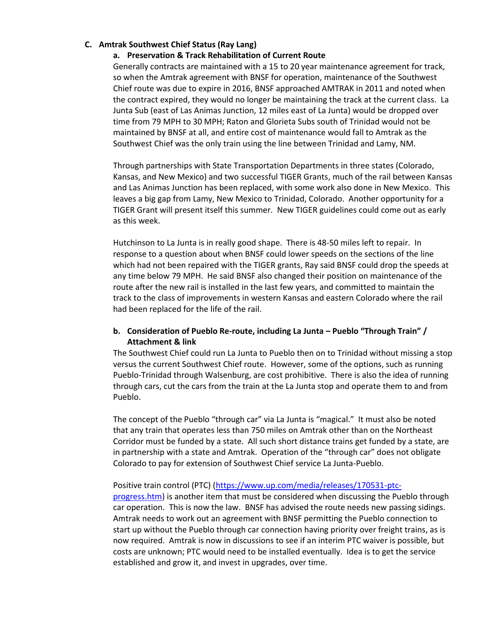#### **C. Amtrak Southwest Chief Status (Ray Lang)**

#### **a. Preservation & Track Rehabilitation of Current Route**

Generally contracts are maintained with a 15 to 20 year maintenance agreement for track, so when the Amtrak agreement with BNSF for operation, maintenance of the Southwest Chief route was due to expire in 2016, BNSF approached AMTRAK in 2011 and noted when the contract expired, they would no longer be maintaining the track at the current class. La Junta Sub (east of Las Animas Junction, 12 miles east of La Junta) would be dropped over time from 79 MPH to 30 MPH; Raton and Glorieta Subs south of Trinidad would not be maintained by BNSF at all, and entire cost of maintenance would fall to Amtrak as the Southwest Chief was the only train using the line between Trinidad and Lamy, NM.

Through partnerships with State Transportation Departments in three states (Colorado, Kansas, and New Mexico) and two successful TIGER Grants, much of the rail between Kansas and Las Animas Junction has been replaced, with some work also done in New Mexico. This leaves a big gap from Lamy, New Mexico to Trinidad, Colorado. Another opportunity for a TIGER Grant will present itself this summer. New TIGER guidelines could come out as early as this week.

Hutchinson to La Junta is in really good shape. There is 48-50 miles left to repair. In response to a question about when BNSF could lower speeds on the sections of the line which had not been repaired with the TIGER grants, Ray said BNSF could drop the speeds at any time below 79 MPH. He said BNSF also changed their position on maintenance of the route after the new rail is installed in the last few years, and committed to maintain the track to the class of improvements in western Kansas and eastern Colorado where the rail had been replaced for the life of the rail.

## **b. Consideration of Pueblo Re-route, including La Junta – Pueblo "Through Train" / Attachment & link**

The Southwest Chief could run La Junta to Pueblo then on to Trinidad without missing a stop versus the current Southwest Chief route. However, some of the options, such as running Pueblo-Trinidad through Walsenburg, are cost prohibitive. There is also the idea of running through cars, cut the cars from the train at the La Junta stop and operate them to and from Pueblo.

The concept of the Pueblo "through car" via La Junta is "magical." It must also be noted that any train that operates less than 750 miles on Amtrak other than on the Northeast Corridor must be funded by a state. All such short distance trains get funded by a state, are in partnership with a state and Amtrak. Operation of the "through car" does not obligate Colorado to pay for extension of Southwest Chief service La Junta-Pueblo.

### Positive train control (PTC) [\(https://www.up.com/media/releases/170531-ptc-](https://www.up.com/media/releases/170531-ptc-progress.htm)

[progress.htm\)](https://www.up.com/media/releases/170531-ptc-progress.htm) is another item that must be considered when discussing the Pueblo through car operation. This is now the law. BNSF has advised the route needs new passing sidings. Amtrak needs to work out an agreement with BNSF permitting the Pueblo connection to start up without the Pueblo through car connection having priority over freight trains, as is now required. Amtrak is now in discussions to see if an interim PTC waiver is possible, but costs are unknown; PTC would need to be installed eventually. Idea is to get the service established and grow it, and invest in upgrades, over time.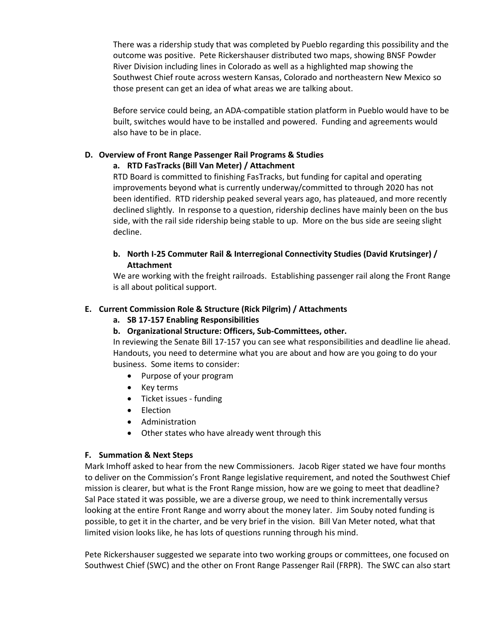There was a ridership study that was completed by Pueblo regarding this possibility and the outcome was positive. Pete Rickershauser distributed two maps, showing BNSF Powder River Division including lines in Colorado as well as a highlighted map showing the Southwest Chief route across western Kansas, Colorado and northeastern New Mexico so those present can get an idea of what areas we are talking about.

Before service could being, an ADA-compatible station platform in Pueblo would have to be built, switches would have to be installed and powered. Funding and agreements would also have to be in place.

# **D. Overview of Front Range Passenger Rail Programs & Studies**

### **a. RTD FasTracks (Bill Van Meter) / Attachment**

RTD Board is committed to finishing FasTracks, but funding for capital and operating improvements beyond what is currently underway/committed to through 2020 has not been identified. RTD ridership peaked several years ago, has plateaued, and more recently declined slightly. In response to a question, ridership declines have mainly been on the bus side, with the rail side ridership being stable to up. More on the bus side are seeing slight decline.

# **b. North I-25 Commuter Rail & Interregional Connectivity Studies (David Krutsinger) / Attachment**

We are working with the freight railroads. Establishing passenger rail along the Front Range is all about political support.

## **E. Current Commission Role & Structure (Rick Pilgrim) / Attachments**

- **a. SB 17-157 Enabling Responsibilities**
- **b. Organizational Structure: Officers, Sub-Committees, other.**

In reviewing the Senate Bill 17-157 you can see what responsibilities and deadline lie ahead. Handouts, you need to determine what you are about and how are you going to do your business. Some items to consider:

- Purpose of your program
- Key terms
- Ticket issues funding
- Election
- Administration
- Other states who have already went through this

# **F. Summation & Next Steps**

Mark Imhoff asked to hear from the new Commissioners. Jacob Riger stated we have four months to deliver on the Commission's Front Range legislative requirement, and noted the Southwest Chief mission is clearer, but what is the Front Range mission, how are we going to meet that deadline? Sal Pace stated it was possible, we are a diverse group, we need to think incrementally versus looking at the entire Front Range and worry about the money later. Jim Souby noted funding is possible, to get it in the charter, and be very brief in the vision. Bill Van Meter noted, what that limited vision looks like, he has lots of questions running through his mind.

Pete Rickershauser suggested we separate into two working groups or committees, one focused on Southwest Chief (SWC) and the other on Front Range Passenger Rail (FRPR). The SWC can also start